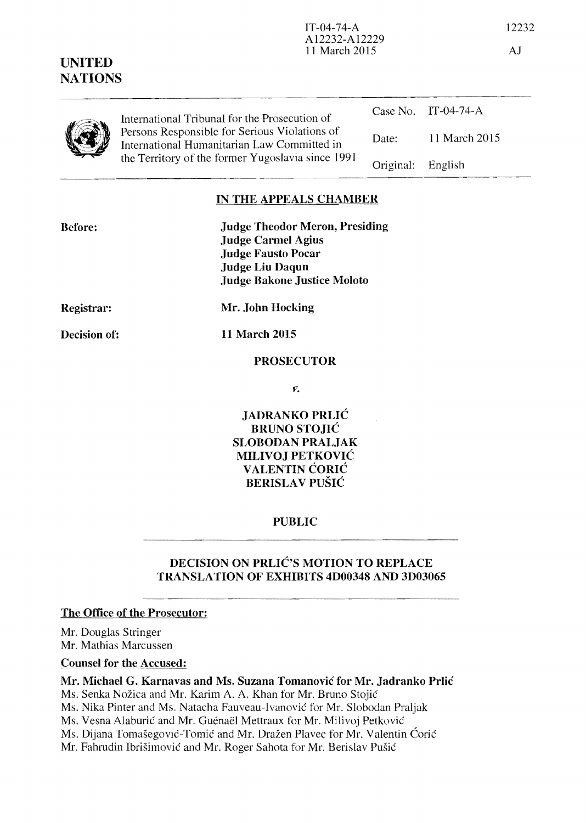| <b>NATIONS</b> |                                                                                              |                   |                     |
|----------------|----------------------------------------------------------------------------------------------|-------------------|---------------------|
|                | International Tribunal for the Prosecution of                                                |                   | Case No. IT-04-74-A |
|                | Persons Responsible for Serious Violations of<br>International Humanitarian Law Committed in | Date:             | 11 March 2015       |
|                | the Territory of the former Yugoslavia since 1991                                            | Original: English |                     |

## **IN THE APPEALS CHAMBER**

| Before: | <b>Judge Theodor Meron, Presiding</b> |
|---------|---------------------------------------|
|         | <b>Judge Carmel Agius</b>             |
|         | <b>Judge Fausto Pocar</b>             |
|         | Judge Liu Daqun                       |
|         | <b>Judge Bakone Justice Moloto</b>    |
|         |                                       |

**Registrar:** 

**Decision of:** 

**11 March 2015** 

**Mr. John Hocking** 

## **PROSECUTOR**

*v.* 

**JADRANKO PRLIC BRUNO STOJIC SLOBODAN PRALJAK MILIVOJ PETKOVIC VALENTIN CORIC BERISLA V PUSIC** 

### **PUBLIC**

# **DECISION ON PRLIC'S MOTION TO REPLACE TRANSLA TION OF EXHIBITS 4D00348 AND 3D03065**

### **The Office of the Prosecutor:**

Mr. Douglas Stringer Mr. Mathias Marcussen

# **Counsel for the Accused:**

**Mr. Michael G. Karnavas and Ms. Suzana Tomanovic for Mr. Jadranko Prlic**  Ms. Senka Nozica and Mr. Karim A. A. Khan for Mr. Bruno Stojic Ms. Nika Pinter and Ms. Natacha Fauveau-Ivanovic for Mr. Slobodan Praljak Ms. Vesna Alaburić and Mr. Guénaël Mettraux for Mr. Milivoj Petković Ms. Dijana Tomašegović-Tomić and Mr. Dražen Plavec for Mr. Valentin Ćorić Mr. Fahrudin Ibrišimović and Mr. Roger Sahota for Mr. Berislav Pušić

| UNITED   |
|----------|
| NA TION! |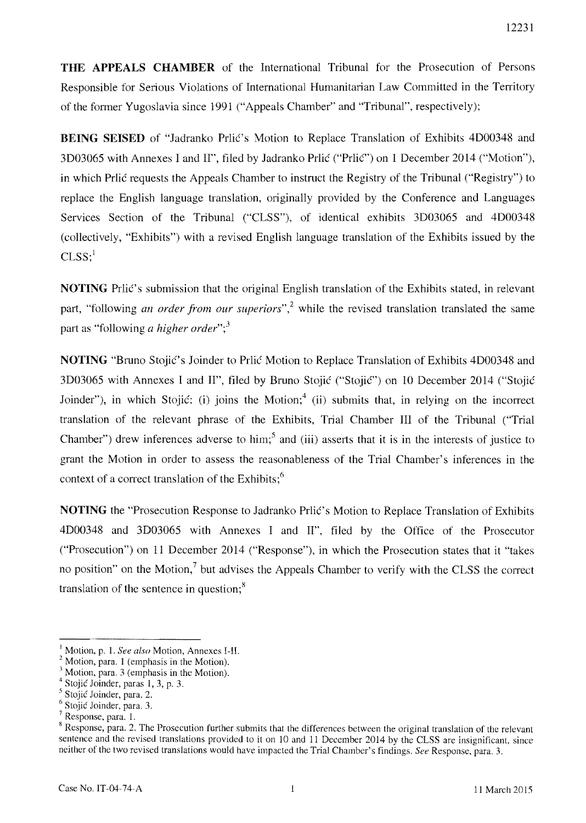**THE APPEALS CHAMBER** of the International Tribunal for the Prosecution of Persons Responsible for Serious Violations of International Humanitarian Law Committed in the Territory of the former Yugoslavia since 1991 ("Appeals Chamber" and "Tribunal", respectively);

**BEING SEISED** of "Jadranko Prlic's Motion to Replace Translation of Exhibits 4D00348 and 3003065 with Annexes I and II", filed by 1adranko Prlic ("PrliC") on 1 December 2014 ("Motion"), in which Prlic requests the Appeals Chamber to instruct the Registry of the Tribunal ("Registry") to replace the English language translation, originally provided by the Conference and Languages Services Section of the Tribunal ("CLSS"), of identical exhibits 3003065 and 4000348 (collectively, "Exhibits") with a revised English language translation of the Exhibits issued by the  $CLSS$ ;

**NOTING** Prlic's submission that the original English translation of the Exhibits stated, in relevant part, "following *an order from our superiors",2* while the revised translation translated the same part as "following *a higher order*";<sup>3</sup>

**NOTING** "Bruno Stojic" is Joinder to Prlic Motion to Replace Translation of Exhibits 4D00348 and 3D03065 with Annexes I and II", filed by Bruno Stojic ("StojiC") on 10 December 2014 ("Stojic Joinder"), in which Stojić: (i) joins the Motion;<sup>4</sup> (ii) submits that, in relying on the incorrect translation of the relevant phrase of the Exhibits, Trial Chamber III of the Tribunal ("Trial Chamber") drew inferences adverse to him;<sup>5</sup> and (iii) asserts that it is in the interests of justice to grant the Motion in order to assess the reasonableness of the Trial Chamber's inferences in the context of a correct translation of the Exhibits;<sup>6</sup>

**NOTING** the "Prosecution Response to Jadranko Prlic's Motion to Replace Translation of Exhibits 4D00348 and 3D03065 with Annexes I and II", filed by the OffIce of the Prosecutor ("Prosecution") on 11 December 2014 ("Response"), in which the Prosecution states that it "takes no position" on the Motion,<sup>7</sup> but advises the Appeals Chamber to verify with the CLSS the correct translation of the sentence in question;<sup>8</sup>

<sup>I</sup>Motion, p. 1. *See also* Motion, Annexes I-II.

Motion, para. 1 (emphasis in the Motion).

Motion, para. 3 (emphasis in the Motion).

<sup>&</sup>lt;sup>4</sup> Stojić Joinder, paras 1, 3, p. 3.

<sup>5</sup> Stojic Joinder, para. 2.

 $<sup>6</sup>$  Stojić Joinder, para. 3.</sup>

Response, para. 1.

<sup>&</sup>lt;sup>8</sup> Response, para. 2. The Prosecution further submits that the differences between the original translation of the relevant sentence and the revised translations provided to it on 10 and 11 December 2014 by the CLSS are insignificant, since neither of the two revised translations would have impacted the Trial Chamber's findings. *See* Response, para. 3.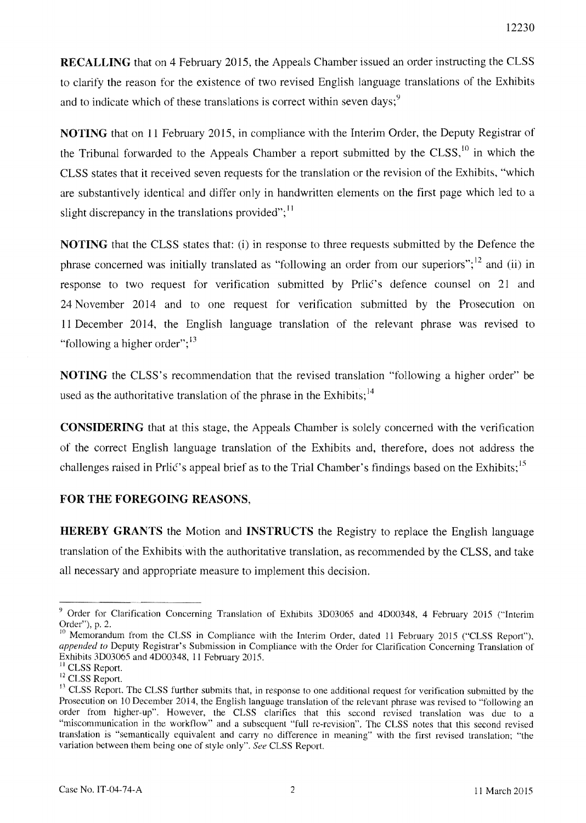**RECALLING** that on 4 February 2015, the Appeals Chamber issued an order instructing the CLSS to clarify the reason for the existence of two revised English language translations of the Exhibits and to indicate which of these translations is correct within seven days;<sup>9</sup>

**NOTING** that on 11 February 2015, in compliance with the Interim Order, the Deputy Registrar of the Tribunal forwarded to the Appeals Chamber a report submitted by the CLSS,<sup>10</sup> in which the CLSS states that it received seven requests for the translation or the revision of the Exhibits, "which are substantively identical and differ only in handwritten elements on the first page which led to a slight discrepancy in the translations provided"; $<sup>11</sup>$ </sup>

**NOTING** that the CLSS states that: (i) in response to three requests submitted by the Defence the phrase concerned was initially translated as "following an order from our superiors";<sup>12</sup> and (ii) in response to two request for verification submitted by Prlic's defence counsel on 21 and 24 November 2014 and to one request for verification submitted by the Prosecution on 11 December 2014, the English language translation of the relevant phrase was revised to "following a higher order";<sup>13</sup>

**NOTING** the CLSS's recommendation that the revised translation "following a higher order" be used as the authoritative translation of the phrase in the Exhibits;<sup>14</sup>

**CONSIDERING** that at this stage, the Appeals Chamber is solely concerned with the verification of the correct English language translation of the Exhibits and, therefore, does not address the challenges raised in Prlic's appeal brief as to the Trial Chamber's findings based on the Exhibits;  $1<sup>5</sup>$ 

# **FOR THE FOREGOING REASONS,**

**HEREBY GRANTS** the Motion and **INSTRUCTS** the Registry to replace the English language translation of the Exhibits with the authoritative translation, as recommended by the CLSS, and take all necessary and appropriate measure to implement this decision.

<sup>&</sup>lt;sup>9</sup> Order for Clarification Concerning Translation of Exhibits 3D03065 and 4D00348, 4 February 2015 ("Interim Order"), p. 2.

<sup>&</sup>lt;sup>10</sup> Memorandum from the CLSS in Compliance with the Interim Order, dated 11 February 2015 ("CLSS Report"), *appended to* Deputy Registrar's Submission in Compliance with the Order for Clarification Concerning Translation of Exhibits 3D03065 and 4DOO348, 11 February 2015.

 $<sup>H</sup>$  CLSS Report.</sup>

<sup>12</sup> CLSS Report.

<sup>&</sup>lt;sup>13</sup> CLSS Report. The CLSS further submits that, in response to one additional request for verification submitted by the Prosecution on 10 December 2014, the English language translation of the relevant phrase was revised to "following an order from higher-up". However, the CLSS clarifies that this second revised translation was due to a "miscommunication in the workflow" and a subsequent "full re-revision". The CLSS notes that this second revised translation is "semantically equivalent and carry no difference in meaning" with the first revised translation; "the variation between them being one of style only". *See* CLSS Report.